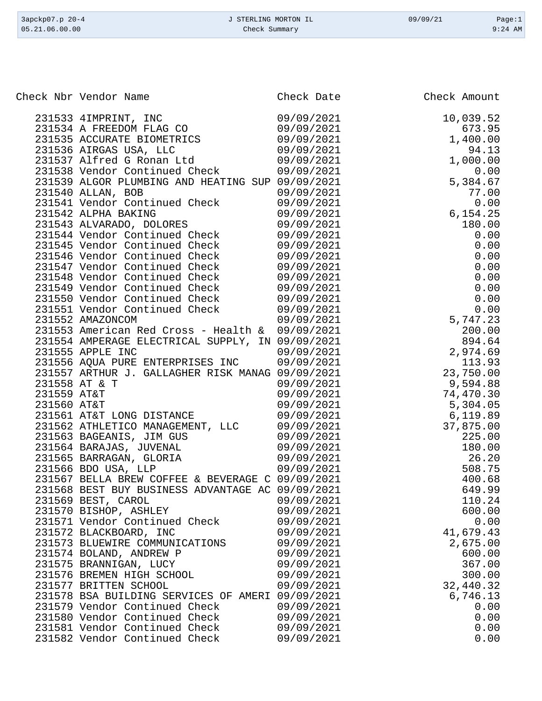| 3apckp07.p 20-4 | J STERLING MORTON IL | 09/09/21 | Page:1    |
|-----------------|----------------------|----------|-----------|
| 05.21.06.00.00  | Check Summary        |          | $9:24$ AM |

|             | Check Nbr Vendor Name                                                                                 | Check Date               | Check Amount                                                                                                                                                                                                                                                          |
|-------------|-------------------------------------------------------------------------------------------------------|--------------------------|-----------------------------------------------------------------------------------------------------------------------------------------------------------------------------------------------------------------------------------------------------------------------|
|             | 231533 4IMPRINT, INC                                                                                  | 09/09/2021               | 10,039.52                                                                                                                                                                                                                                                             |
|             | 231534 A FREEDOM FLAG CO                                                                              | 09/09/2021               | 673.95                                                                                                                                                                                                                                                                |
|             | 231534 A FREEDOM LESS CRIMINATE BIOMETRICS<br>231535 ACCURATE BIOMETRICS                              | 09/09/2021               | 1,400.00                                                                                                                                                                                                                                                              |
|             |                                                                                                       | 09/09/2021               | 94.13                                                                                                                                                                                                                                                                 |
|             | 231537 Alfred G Ronan Ltd                                                                             | 09/09/2021               | 1,000.00                                                                                                                                                                                                                                                              |
|             | 231538 Vendor Continued Check                                                                         | 09/09/2021               |                                                                                                                                                                                                                                                                       |
|             | 231539 ALGOR PLUMBING AND HEATING SUP 09/09/2021                                                      |                          |                                                                                                                                                                                                                                                                       |
|             | 231540 ALLAN, BOB                                                                                     | 09/09/2021               |                                                                                                                                                                                                                                                                       |
|             | 231541 Vendor Continued Check                                                                         | 09/09/2021               |                                                                                                                                                                                                                                                                       |
|             | 231542 ALPHA BAKING                                                                                   | 09/09/2021               |                                                                                                                                                                                                                                                                       |
|             | 231543 ALVARADO, DOLORES                                                                              | 09/09/2021               |                                                                                                                                                                                                                                                                       |
|             | 231544 Vendor Continued Check                                                                         | 09/09/2021               |                                                                                                                                                                                                                                                                       |
|             | 231545 Vendor Continued Check                                                                         | 09/09/2021               |                                                                                                                                                                                                                                                                       |
|             | 231546 Vendor Continued Check                                                                         | 09/09/2021               |                                                                                                                                                                                                                                                                       |
|             | 231547 Vendor Continued Check                                                                         | 09/09/2021               |                                                                                                                                                                                                                                                                       |
|             | 231548 Vendor Continued Check                                                                         | 09/09/2021               |                                                                                                                                                                                                                                                                       |
|             | 231549 Vendor Continued Check                                                                         | 09/09/2021               |                                                                                                                                                                                                                                                                       |
|             | 231550 Vendor Continued Check                                                                         | 09/09/2021               |                                                                                                                                                                                                                                                                       |
|             | 231551 Vendor Continued Check                                                                         | 09/09/2021               |                                                                                                                                                                                                                                                                       |
|             | 231552 AMAZONCOM                                                                                      | 09/09/2021               |                                                                                                                                                                                                                                                                       |
|             | 231553 American Red Cross - Health &                                                                  | 09/09/2021               |                                                                                                                                                                                                                                                                       |
|             | 231554 AMPERAGE ELECTRICAL SUPPLY, IN 09/09/2021                                                      |                          |                                                                                                                                                                                                                                                                       |
|             | 231555 APPLE INC                                                                                      | 09/09/2021               |                                                                                                                                                                                                                                                                       |
|             | 231556 AQUA PURE ENTERPRISES INC                                                                      | 09/09/2021               |                                                                                                                                                                                                                                                                       |
|             | 231557 ARTHUR J. GALLAGHER RISK MANAG 09/09/2021                                                      |                          |                                                                                                                                                                                                                                                                       |
|             | 231558 AT & T                                                                                         | 09/09/2021               |                                                                                                                                                                                                                                                                       |
| 231559 AT&T |                                                                                                       | 09/09/2021               | $\begin{array}{r} 94.13 \ 900.00 \ 0.00 \ 5,384.67 \ 77.00 \ 0.00 \ 6,154.25 \ 180.00 \ 0.00 \ 0.00 \ 0.00 \ 0.00 \ 0.00 \ 0.00 \ 0.00 \ 0.00 \ 0.00 \ 0.00 \ 0.00 \ 0.00 \ 0.00 \ 0.00 \ 0.00 \ 0.00 \ 894.64 \ 2,974.23 \ 200.00 \ 894.64 \ 2,974.69 \ 113.93 \ 23$ |
| 231560 AT&T |                                                                                                       | 09/09/2021               |                                                                                                                                                                                                                                                                       |
|             | 231561 AT&T LONG DISTANCE                                                                             | 09/09/2021               |                                                                                                                                                                                                                                                                       |
|             | 231562 ATHLETICO MANAGEMENT, LLC                                                                      | 09/09/2021               |                                                                                                                                                                                                                                                                       |
|             |                                                                                                       | 09/09/2021<br>09/09/2021 |                                                                                                                                                                                                                                                                       |
|             | 231563 BAGEANIS, JIM GUS<br>231564 BARAJAS, JUVENAL<br>231565 BARRAGAN, GLORIA<br>231566 BDO USA, LLP | 09/09/2021               |                                                                                                                                                                                                                                                                       |
|             |                                                                                                       | 09/09/2021               |                                                                                                                                                                                                                                                                       |
|             | 231567 BELLA BREW COFFEE & BEVERAGE C 09/09/2021                                                      |                          |                                                                                                                                                                                                                                                                       |
|             | 231568 BEST BUY BUSINESS ADVANTAGE AC 09/09/2021                                                      |                          | 649.99                                                                                                                                                                                                                                                                |
|             | 231569 BEST, CAROL                                                                                    | 09/09/2021               | 110.24                                                                                                                                                                                                                                                                |
|             | 231570 BISHOP, ASHLEY                                                                                 | 09/09/2021               | 600.00                                                                                                                                                                                                                                                                |
|             | 231571 Vendor Continued Check                                                                         | 09/09/2021               | 0.00                                                                                                                                                                                                                                                                  |
|             | 231572 BLACKBOARD, INC                                                                                | 09/09/2021               | 41,679.43                                                                                                                                                                                                                                                             |
|             | 231573 BLUEWIRE COMMUNICATIONS                                                                        | 09/09/2021               | 2,675.00                                                                                                                                                                                                                                                              |
|             | 231574 BOLAND, ANDREW P                                                                               | 09/09/2021               | 600.00                                                                                                                                                                                                                                                                |
|             | 231575 BRANNIGAN, LUCY                                                                                | 09/09/2021               | 367.00                                                                                                                                                                                                                                                                |
|             | 231576 BREMEN HIGH SCHOOL                                                                             | 09/09/2021               | 300.00                                                                                                                                                                                                                                                                |
|             | 231577 BRITTEN SCHOOL                                                                                 | 09/09/2021               | 32,440.32                                                                                                                                                                                                                                                             |
|             | 231578 BSA BUILDING SERVICES OF AMERI 09/09/2021                                                      |                          | 6,746.13                                                                                                                                                                                                                                                              |
|             | 231579 Vendor Continued Check                                                                         | 09/09/2021               | 0.00                                                                                                                                                                                                                                                                  |
|             | 231580 Vendor Continued Check                                                                         | 09/09/2021               | 0.00                                                                                                                                                                                                                                                                  |
|             | 231581 Vendor Continued Check                                                                         | 09/09/2021               | 0.00                                                                                                                                                                                                                                                                  |
|             | 231582 Vendor Continued Check                                                                         | 09/09/2021               | 0.00                                                                                                                                                                                                                                                                  |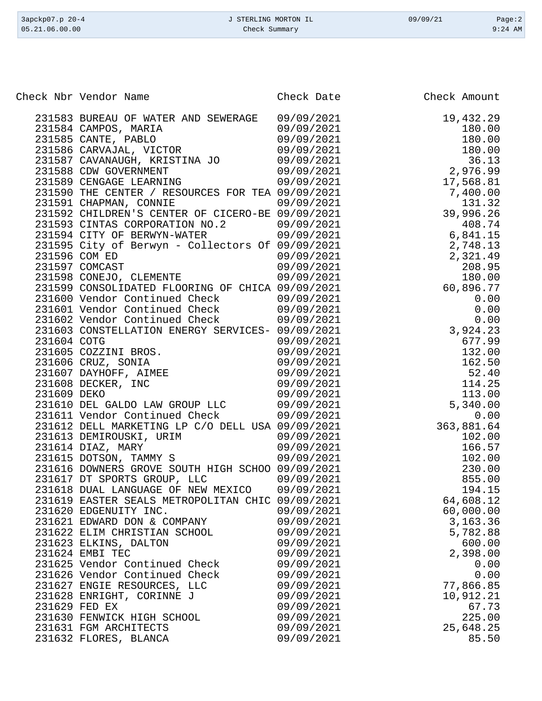| Check Nbr Vendor Name                                                                                                                                                                                                                | Check Date | Check Amount                                                                            |
|--------------------------------------------------------------------------------------------------------------------------------------------------------------------------------------------------------------------------------------|------------|-----------------------------------------------------------------------------------------|
|                                                                                                                                                                                                                                      |            |                                                                                         |
| 231583 BUREAU OF WATER AND SEWERAGE 09/09/2021                                                                                                                                                                                       |            | 19,432.29                                                                               |
|                                                                                                                                                                                                                                      |            |                                                                                         |
|                                                                                                                                                                                                                                      |            |                                                                                         |
| 231584 CAMPOS, MARIA $09/09/2021$<br>231585 CANTE, PABLO $09/09/2021$<br>231586 CARVAJAL, VICTOR $09/09/2021$<br>231587 CAVANAUGH, KRISTINA JO $09/09/2021$<br>231587 CAVANAUGH, KRISTINA JO $09/09/2021$                            |            | $19,432.29$<br>$180.00$<br>$180.00$<br>$180.00$<br>$36.13$<br>$2,976.99$<br>$17,569.91$ |
|                                                                                                                                                                                                                                      |            |                                                                                         |
|                                                                                                                                                                                                                                      |            |                                                                                         |
| 231588 CDW GOVERNMENT<br>231589 CENGAGE LEARNING 09/09/2021                                                                                                                                                                          |            |                                                                                         |
|                                                                                                                                                                                                                                      |            |                                                                                         |
|                                                                                                                                                                                                                                      |            |                                                                                         |
|                                                                                                                                                                                                                                      |            |                                                                                         |
|                                                                                                                                                                                                                                      |            |                                                                                         |
|                                                                                                                                                                                                                                      |            |                                                                                         |
|                                                                                                                                                                                                                                      |            |                                                                                         |
|                                                                                                                                                                                                                                      |            |                                                                                         |
|                                                                                                                                                                                                                                      |            |                                                                                         |
|                                                                                                                                                                                                                                      |            |                                                                                         |
|                                                                                                                                                                                                                                      |            |                                                                                         |
|                                                                                                                                                                                                                                      |            |                                                                                         |
|                                                                                                                                                                                                                                      |            |                                                                                         |
| 231587 CAVANDERT KRISTINA JO (19/19/2021 19/19/2022)<br>231588 CDN GOVERNMENT (19/19/20221 17,568.81<br>231589 CENGAGE LEARNING (19/19/20221 17,568.81<br>231591 CHAMBAY, CONNIE (19/19/20221 17,568.81<br>231591 CHAMBAY, CONNIE OF |            |                                                                                         |
|                                                                                                                                                                                                                                      |            |                                                                                         |
|                                                                                                                                                                                                                                      |            |                                                                                         |
|                                                                                                                                                                                                                                      |            |                                                                                         |
|                                                                                                                                                                                                                                      |            |                                                                                         |
|                                                                                                                                                                                                                                      |            |                                                                                         |
|                                                                                                                                                                                                                                      |            |                                                                                         |
|                                                                                                                                                                                                                                      |            |                                                                                         |
|                                                                                                                                                                                                                                      |            |                                                                                         |
|                                                                                                                                                                                                                                      |            |                                                                                         |
|                                                                                                                                                                                                                                      |            |                                                                                         |
|                                                                                                                                                                                                                                      |            |                                                                                         |
|                                                                                                                                                                                                                                      |            |                                                                                         |
| 231614 DIAZ, MARY                                                                                                                                                                                                                    | 09/09/2021 | 166.57                                                                                  |
| 231615 DOTSON, TAMMY S                                                                                                                                                                                                               | 09/09/2021 | 102.00                                                                                  |
| 231616 DOWNERS GROVE SOUTH HIGH SCHOO 09/09/2021                                                                                                                                                                                     |            | 230.00                                                                                  |
| 231617 DT SPORTS GROUP, LLC                                                                                                                                                                                                          | 09/09/2021 | 855.00                                                                                  |
| 231618 DUAL LANGUAGE OF NEW MEXICO                                                                                                                                                                                                   | 09/09/2021 | 194.15                                                                                  |
| 231619 EASTER SEALS METROPOLITAN CHIC                                                                                                                                                                                                | 09/09/2021 | 64,608.12                                                                               |
| 231620 EDGENUITY INC.                                                                                                                                                                                                                | 09/09/2021 | 60,000.00                                                                               |
| 231621 EDWARD DON & COMPANY                                                                                                                                                                                                          | 09/09/2021 | 3,163.36                                                                                |
| 231622 ELIM CHRISTIAN SCHOOL                                                                                                                                                                                                         | 09/09/2021 | 5,782.88                                                                                |
| 231623 ELKINS, DALTON                                                                                                                                                                                                                | 09/09/2021 | 600.00                                                                                  |
| 231624 EMBI TEC                                                                                                                                                                                                                      | 09/09/2021 | 2,398.00                                                                                |
| 231625 Vendor Continued Check                                                                                                                                                                                                        | 09/09/2021 | 0.00                                                                                    |
| 231626 Vendor Continued Check                                                                                                                                                                                                        | 09/09/2021 | 0.00                                                                                    |
|                                                                                                                                                                                                                                      |            |                                                                                         |
| 231627 ENGIE RESOURCES, LLC                                                                                                                                                                                                          | 09/09/2021 | 77,866.85                                                                               |
| 231628 ENRIGHT, CORINNE J                                                                                                                                                                                                            | 09/09/2021 | 10,912.21                                                                               |
| 231629 FED EX                                                                                                                                                                                                                        | 09/09/2021 | 67.73                                                                                   |
| 231630 FENWICK HIGH SCHOOL                                                                                                                                                                                                           | 09/09/2021 | 225.00                                                                                  |
| 231631 FGM ARCHITECTS                                                                                                                                                                                                                | 09/09/2021 | 25,648.25                                                                               |
| 231632 FLORES, BLANCA                                                                                                                                                                                                                | 09/09/2021 | 85.50                                                                                   |

3apckp07.p 20-4 <br>
3apckp07.p 20-4 <br>
33TERLING MORTON IL 09/09/21 Page:2<br>
24 AM Check Summary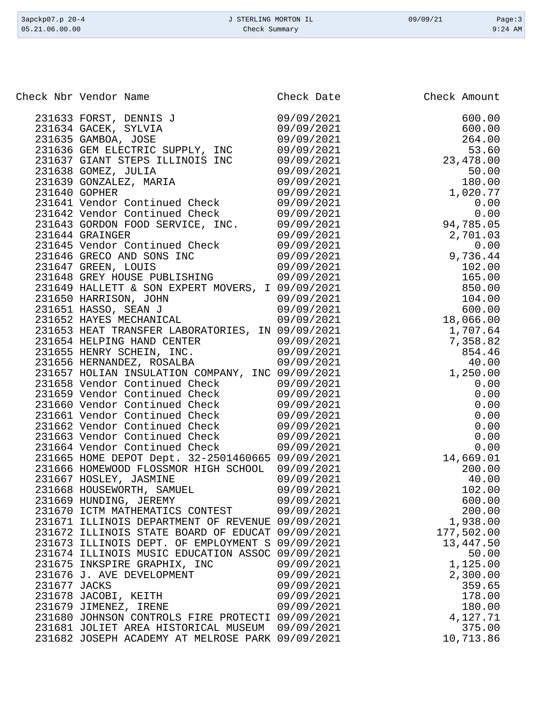| 3apckp07.p 20-4<br>05.21.06.00.00                | J STERLING MORTON IL<br>Check Summary |            | 09/09/21     | Page:3<br>$9:24$ AM |
|--------------------------------------------------|---------------------------------------|------------|--------------|---------------------|
|                                                  |                                       |            |              |                     |
| Check Nbr Vendor Name                            |                                       | Check Date | Check Amount |                     |
| 231633 FORST, DENNIS J                           |                                       | 09/09/2021 |              | 600.00              |
| 231634 GACEK, SYLVIA                             |                                       | 09/09/2021 |              | 600.00              |
| 231635 GAMBOA, JOSE                              |                                       | 09/09/2021 |              | 264.00              |
| 231636 GEM ELECTRIC SUPPLY, INC                  |                                       | 09/09/2021 |              | 53.60               |
| 231637 GIANT STEPS ILLINOIS INC                  |                                       | 09/09/2021 | 23, 478.00   |                     |
| 231638 GOMEZ, JULIA                              |                                       | 09/09/2021 |              | 50.00               |
| 231639 GONZALEZ, MARIA                           |                                       | 09/09/2021 |              | 180.00              |
| 231640 GOPHER                                    |                                       | 09/09/2021 |              | 1,020.77            |
| 231641 Vendor Continued Check                    |                                       | 09/09/2021 |              | 0.00                |
| 231642 Vendor Continued Check                    |                                       | 09/09/2021 |              | 0.00                |
| 231643 GORDON FOOD SERVICE, INC.                 |                                       | 09/09/2021 | 94,785.05    |                     |
| 231644 GRAINGER                                  |                                       | 09/09/2021 |              | 2,701.03            |
| 231645 Vendor Continued Check                    |                                       | 09/09/2021 |              | 0.00                |
| 231646 GRECO AND SONS INC                        |                                       | 09/09/2021 |              | 9,736.44            |
| 231647 GREEN, LOUIS                              |                                       | 09/09/2021 |              | 102.00              |
| 231648 GREY HOUSE PUBLISHING                     |                                       | 09/09/2021 |              | 165.00              |
| 231649 HALLETT & SON EXPERT MOVERS, I 09/09/2021 |                                       |            |              | 850.00              |
| 231650 HARRISON, JOHN                            |                                       | 09/09/2021 |              | 104.00              |
| 231651 HASSO, SEAN J                             |                                       | 09/09/2021 |              | 600.00              |
| 231652 HAYES MECHANICAL                          |                                       | 09/09/2021 | 18,066.00    |                     |
| 231653 HEAT TRANSFER LABORATORIES, IN 09/09/2021 |                                       |            |              | 1,707.64            |
| 231654 HELPING HAND CENTER                       |                                       | 09/09/2021 |              | 7,358.82            |
| 231655 HENRY SCHEIN, INC.                        |                                       | 09/09/2021 |              | 854.46              |
| 231656 HERNANDEZ, ROSALBA                        |                                       | 09/09/2021 |              | 40.00               |
| 231657 HOLIAN INSULATION COMPANY, INC 09/09/2021 |                                       |            |              | 1,250.00            |
| 231658 Vendor Continued Check                    |                                       | 09/09/2021 |              | 0.00                |
| 231659 Vendor Continued Check                    |                                       | 09/09/2021 |              | 0.00                |
| 231660 Vendor Continued Check                    |                                       | 09/09/2021 |              | 0.00                |
| 231661 Vendor Continued Check                    |                                       | 09/09/2021 |              | 0.00                |
| 231662 Vendor Continued Check                    |                                       | 09/09/2021 |              | 0.00                |
| 231663 Vendor Continued Check                    |                                       | 09/09/2021 |              | 0.00                |
| 231664 Vendor Continued Check                    |                                       | 09/09/2021 |              | 0.00                |
| 231665 HOME DEPOT Dept. 32-2501460665 09/09/2021 |                                       |            |              | 14,669.01           |
| 231666 HOMEWOOD FLOSSMOR HIGH SCHOOL             |                                       | 09/09/2021 |              | 200.00              |
| 231667 HOSLEY, JASMINE                           |                                       | 09/09/2021 |              | 40.00               |
| 231668 HOUSEWORTH, SAMUEL                        |                                       | 09/09/2021 |              | 102.00              |

 231669 HUNDING, JEREMY 09/09/2021 600.00 231670 ICTM MATHEMATICS CONTEST 09/09/2021 200.00 231671 ILLINOIS DEPARTMENT OF REVENUE 09/09/2021 1,938.00 231672 ILLINOIS STATE BOARD OF EDUCAT 09/09/2021 177,502.00 231673 ILLINOIS DEPT. OF EMPLOYMENT S 09/09/2021 13,447.50 231674 ILLINOIS MUSIC EDUCATION ASSOC 09/09/2021 50.00<br>231675 INKSPIRE GRAPHIX, INC 09/09/2021 1,125.00

 231676 J. AVE DEVELOPMENT 09/09/2021 2,300.00 231677 JACKS 09/09/2021 359.65 231678 JACOBI, KEITH 09/09/2021 178.00 231679 JIMENEZ, IRENE 09/09/2021 180.00 231680 JOHNSON CONTROLS FIRE PROTECTI 09/09/2021 4,127.71 231681 JOLIET AREA HISTORICAL MUSEUM 09/09/2021 375.00

231675 INKSPIRE GRAPHIX, INC 09/09/2021

231682 JOSEPH ACADEMY AT MELROSE PARK 09/09/2021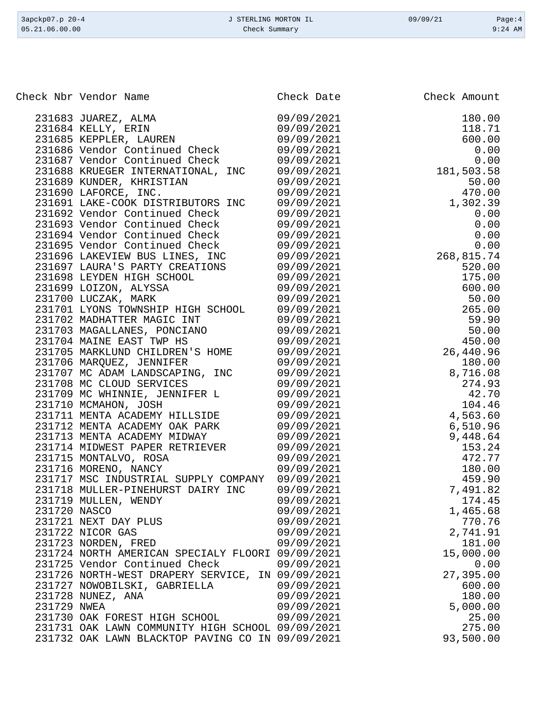| 3apckp07.p 20-4<br>05.21.06.00.00 | J STERLING MORTON IL<br>Check Summary | 09/09/21     | Page:4<br>$9:24$ AM |
|-----------------------------------|---------------------------------------|--------------|---------------------|
|                                   |                                       |              |                     |
|                                   |                                       |              |                     |
| Check Nbr Vendor Name             | Check Date                            | Check Amount |                     |
| 231683 JUAREZ, ALMA               | 09/09/2021                            |              | 180.00              |
| 231684 KELLY, ERIN                | 09/09/2021                            |              | 118.71              |
| 231685 KEPPLER, LAUREN            | 09/09/2021                            |              | 600.00              |
| 231686 Vendor Continued Check     | 09/09/2021                            |              | 0.00                |
| 231687 Vendor Continued Check     | 09/09/2021                            |              | 0.00                |
| 231688 KRUEGER INTERNATIONAL, INC | 09/09/2021                            | 181,503.58   |                     |
| 231689 KUNDER, KHRISTIAN          | 09/09/2021                            |              | 50.00               |
| OR1600 INFORME<br>▔™              | 0.01010120001                         |              | 170 OO              |

|              | 231685 KEPPLER, LAUREN                           | 09/09/2021 | 600.00     |
|--------------|--------------------------------------------------|------------|------------|
|              | 231686 Vendor Continued Check                    | 09/09/2021 | 0.00       |
|              | 231687 Vendor Continued Check                    | 09/09/2021 | 0.00       |
|              | 231688 KRUEGER INTERNATIONAL, INC                | 09/09/2021 | 181,503.58 |
|              | 231689 KUNDER, KHRISTIAN                         | 09/09/2021 | 50.00      |
|              | 231690 LAFORCE, INC.                             | 09/09/2021 | 470.00     |
|              | 231691 LAKE-COOK DISTRIBUTORS INC                | 09/09/2021 | 1,302.39   |
|              | 231692 Vendor Continued Check                    | 09/09/2021 | 0.00       |
|              | 231693 Vendor Continued Check                    | 09/09/2021 | 0.00       |
|              | 231694 Vendor Continued Check                    | 09/09/2021 | 0.00       |
|              | 231695 Vendor Continued Check                    | 09/09/2021 | 0.00       |
|              | 231696 LAKEVIEW BUS LINES, INC                   | 09/09/2021 | 268,815.74 |
|              | 231697 LAURA'S PARTY CREATIONS                   | 09/09/2021 | 520.00     |
|              | 231698 LEYDEN HIGH SCHOOL                        | 09/09/2021 | 175.00     |
|              | 231699 LOIZON, ALYSSA                            | 09/09/2021 | 600.00     |
|              | 231700 LUCZAK, MARK                              | 09/09/2021 | 50.00      |
|              | 231701 LYONS TOWNSHIP HIGH SCHOOL                | 09/09/2021 | 265.00     |
|              | 231702 MADHATTER MAGIC INT                       | 09/09/2021 | 59.90      |
|              | 231703 MAGALLANES, PONCIANO                      | 09/09/2021 | 50.00      |
|              | 231704 MAINE EAST TWP HS                         | 09/09/2021 | 450.00     |
|              | 231705 MARKLUND CHILDREN'S HOME                  | 09/09/2021 | 26,440.96  |
|              | 231706 MARQUEZ, JENNIFER                         | 09/09/2021 | 180.00     |
|              | 231707 MC ADAM LANDSCAPING, INC                  | 09/09/2021 | 8,716.08   |
|              | 231708 MC CLOUD SERVICES                         | 09/09/2021 | 274.93     |
|              | 231709 MC WHINNIE, JENNIFER L                    | 09/09/2021 | 42.70      |
|              | 231710 MCMAHON, JOSH                             | 09/09/2021 | 104.46     |
|              | 231711 MENTA ACADEMY HILLSIDE                    | 09/09/2021 | 4,563.60   |
|              | 231712 MENTA ACADEMY OAK PARK                    | 09/09/2021 | 6,510.96   |
|              | 231713 MENTA ACADEMY MIDWAY                      | 09/09/2021 | 9,448.64   |
|              | 231714 MIDWEST PAPER RETRIEVER                   | 09/09/2021 | 153.24     |
|              | 231715 MONTALVO, ROSA                            | 09/09/2021 | 472.77     |
|              | 231716 MORENO, NANCY                             | 09/09/2021 | 180.00     |
|              | 231717 MSC INDUSTRIAL SUPPLY COMPANY             | 09/09/2021 | 459.90     |
|              | 231718 MULLER-PINEHURST DAIRY INC                | 09/09/2021 | 7,491.82   |
|              | 231719 MULLEN, WENDY                             | 09/09/2021 | 174.45     |
| 231720 NASCO |                                                  | 09/09/2021 | 1,465.68   |
|              | 231721 NEXT DAY PLUS                             | 09/09/2021 | 770.76     |
|              | 231722 NICOR GAS                                 | 09/09/2021 | 2,741.91   |
|              | 231723 NORDEN, FRED                              | 09/09/2021 | 181.00     |
|              | 231724 NORTH AMERICAN SPECIALY FLOORI 09/09/2021 |            | 15,000.00  |
|              | 231725 Vendor Continued Check                    | 09/09/2021 | 0.00       |
|              | 231726 NORTH-WEST DRAPERY SERVICE, IN 09/09/2021 |            | 27,395.00  |
|              | 231727 NOWOBILSKI, GABRIELLA                     | 09/09/2021 | 600.00     |
|              | 231728 NUNEZ, ANA                                | 09/09/2021 | 180.00     |
| 231729 NWEA  |                                                  | 09/09/2021 | 5,000.00   |
|              | 231730 OAK FOREST HIGH SCHOOL                    | 09/09/2021 | 25.00      |
|              | 231731 OAK LAWN COMMUNITY HIGH SCHOOL 09/09/2021 |            | 275.00     |
|              | 231732 OAK LAWN BLACKTOP PAVING CO IN 09/09/2021 |            | 93,500.00  |
|              |                                                  |            |            |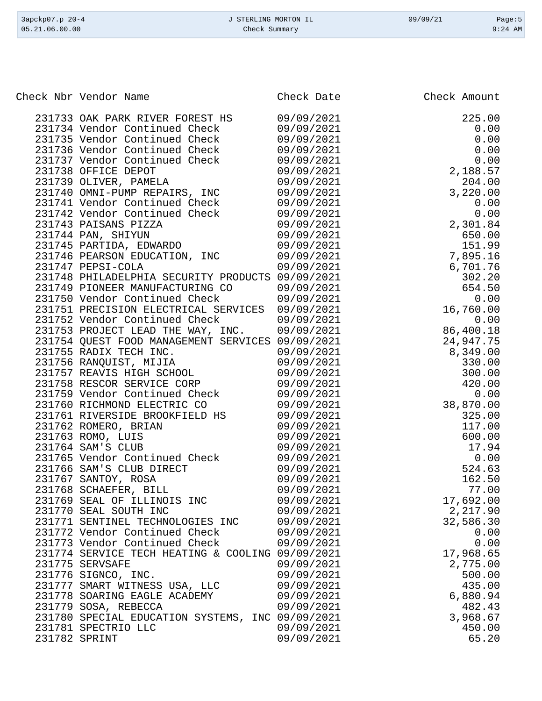| 3apckp07.p 20-4<br>05.21.06.00.00 | J STERLING MORTON IL<br>Check Summary                            |                          | 09/09/21 | Page: $5$<br>$9:24$ AM |
|-----------------------------------|------------------------------------------------------------------|--------------------------|----------|------------------------|
|                                   |                                                                  |                          |          |                        |
|                                   | Check Nbr Vendor Name                                            | Check Date               |          | Check Amount           |
|                                   |                                                                  |                          |          | 225.00                 |
|                                   | 231733 OAK PARK RIVER FOREST HS<br>231734 Vendor Continued Check | 09/09/2021               |          | 0.00                   |
|                                   | 231735 Vendor Continued Check                                    | 09/09/2021<br>09/09/2021 |          | 0.00                   |
|                                   | 231736 Vendor Continued Check                                    | 09/09/2021               |          | 0.00                   |
|                                   | 231737 Vendor Continued Check                                    | 09/09/2021               |          | 0.00                   |
|                                   | 231738 OFFICE DEPOT                                              | 09/09/2021               |          | 2,188.57               |
|                                   | 231739 OLIVER, PAMELA                                            | 09/09/2021               |          | 204.00                 |
|                                   | 231740 OMNI-PUMP REPAIRS, INC                                    | 09/09/2021               |          | 3,220.00               |
|                                   | 231741 Vendor Continued Check                                    | 09/09/2021               |          | 0.00                   |
|                                   | 231742 Vendor Continued Check                                    | 09/09/2021               |          | 0.00                   |
|                                   | 231743 PAISANS PIZZA                                             | 09/09/2021               |          | 2,301.84               |
|                                   | 231744 PAN, SHIYUN                                               | 09/09/2021               |          | 650.00                 |
|                                   | 231745 PARTIDA, EDWARDO                                          | 09/09/2021               |          | 151.99                 |
|                                   | 231746 PEARSON EDUCATION,<br>INC                                 | 09/09/2021               |          | 7,895.16               |
|                                   | 231747 PEPSI-COLA                                                | 09/09/2021               |          | 6,701.76               |
|                                   | 231748 PHILADELPHIA SECURITY PRODUCTS 09/09/2021                 |                          |          | 302.20                 |
|                                   | 231749 PIONEER MANUFACTURING CO                                  | 09/09/2021               |          | 654.50                 |
|                                   | 231750 Vendor Continued Check                                    | 09/09/2021               |          | 0.00                   |
|                                   | 231751 PRECISION ELECTRICAL SERVICES                             | 09/09/2021               |          | 16,760.00              |
|                                   | 231752 Vendor Continued Check                                    | 09/09/2021               |          | 0.00                   |
|                                   | 231753 PROJECT LEAD THE WAY, INC.                                | 09/09/2021               |          | 86,400.18              |
|                                   | 231754 QUEST FOOD MANAGEMENT SERVICES 09/09/2021                 |                          |          | 24,947.75              |
|                                   | 231755 RADIX TECH INC.                                           | 09/09/2021               |          | 8,349.00               |
|                                   | 231756 RANQUIST, MIJIA<br>231757 REAVIS HIGH SCHOOL              | 09/09/2021<br>09/09/2021 |          | 330.00<br>300.00       |
|                                   | 231758 RESCOR SERVICE CORP                                       | 09/09/2021               |          | 420.00                 |
|                                   | 231759 Vendor Continued Check                                    | 09/09/2021               |          | 0.00                   |
|                                   | 231760 RICHMOND ELECTRIC CO                                      | 09/09/2021               |          | 38,870.00              |
|                                   | 231761 RIVERSIDE BROOKFIELD HS                                   | 09/09/2021               |          | 325.00                 |
|                                   | 231762 ROMERO, BRIAN                                             | 09/09/2021               |          | 117.00                 |
|                                   | 231763 ROMO, LUIS                                                | 09/09/2021               |          | 600.00                 |
|                                   | 231764 SAM'S CLUB                                                | 09/09/2021               |          | 17.94                  |
|                                   | 231765 Vendor Continued Check                                    | 09/09/2021               |          | 0.00                   |
|                                   | 231766 SAM'S CLUB DIRECT                                         | 09/09/2021               |          | 524.63                 |
|                                   | 231767 SANTOY, ROSA                                              | 09/09/2021               |          | 162.50                 |
|                                   | 231768 SCHAEFER, BILL                                            | 09/09/2021               |          | 77.00                  |
|                                   | 231769 SEAL OF ILLINOIS INC                                      | 09/09/2021               |          | 17,692.00              |
|                                   | 231770 SEAL SOUTH INC                                            | 09/09/2021               |          | 2,217.90               |
|                                   | 231771 SENTINEL TECHNOLOGIES INC                                 | 09/09/2021               |          | 32,586.30              |
|                                   | 231772 Vendor Continued Check                                    | 09/09/2021               |          | 0.00                   |
|                                   | 231773 Vendor Continued Check                                    | 09/09/2021               |          | 0.00                   |
|                                   | 231774 SERVICE TECH HEATING & COOLING 09/09/2021                 |                          |          | 17,968.65              |
|                                   | 231775 SERVSAFE                                                  | 09/09/2021               |          | 2,775.00               |
|                                   | 231776 SIGNCO, INC.                                              | 09/09/2021               |          | 500.00                 |
|                                   | 231777 SMART WITNESS USA, LLC                                    | 09/09/2021               |          | 435.00                 |
|                                   | 231778 SOARING EAGLE ACADEMY                                     | 09/09/2021               |          | 6,880.94               |
|                                   | 231779 SOSA, REBECCA                                             | 09/09/2021               |          | 482.43                 |
|                                   | 231780 SPECIAL EDUCATION SYSTEMS, INC 09/09/2021                 |                          |          | 3,968.67               |
|                                   | 231781 SPECTRIO LLC                                              | 09/09/2021               |          | 450.00                 |
|                                   | 231782 SPRINT                                                    | 09/09/2021               |          | 65.20                  |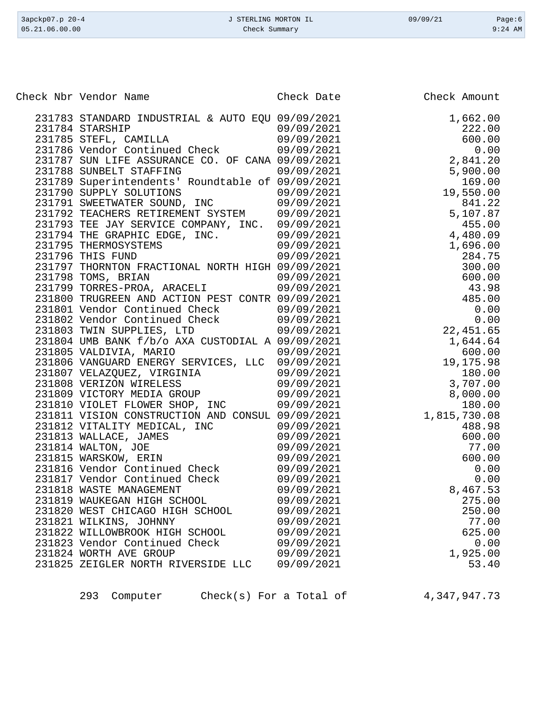| Check Nbr Vendor Name                            | Check Date | Check Amount |
|--------------------------------------------------|------------|--------------|
| 231783 STANDARD INDUSTRIAL & AUTO EQU 09/09/2021 |            | 1,662.00     |
| 231784 STARSHIP                                  | 09/09/2021 | 222.00       |
| 231785 STEFL, CAMILLA                            | 09/09/2021 | 600.00       |
| 231786 Vendor Continued Check                    | 09/09/2021 |              |
| 231787 SUN LIFE ASSURANCE CO. OF CANA 09/09/2021 |            |              |
| 231788 SUNBELT STAFFING                          | 09/09/2021 |              |
| 231789 Superintendents' Roundtable of 09/09/2021 |            |              |
| 231790 SUPPLY SOLUTIONS                          | 09/09/2021 |              |
| 231791 SWEETWATER SOUND, INC                     | 09/09/2021 |              |
| 231792 TEACHERS RETIREMENT SYSTEM 09/09/2021     |            |              |
| 231793 TEE JAY SERVICE COMPANY, INC. 09/09/2021  |            |              |
| 231794 THE GRAPHIC EDGE, INC.                    | 09/09/2021 |              |
| 231795 THERMOSYSTEMS                             | 09/09/2021 |              |
| 231796 THIS FUND                                 | 09/09/2021 |              |
| 231797 THORNTON FRACTIONAL NORTH HIGH 09/09/2021 |            |              |
| 231798 TOMS, BRIAN                               | 09/09/2021 |              |
| 231799 TORRES-PROA, ARACELI                      | 09/09/2021 |              |
| 231800 TRUGREEN AND ACTION PEST CONTR 09/09/2021 |            |              |
| 231801 Vendor Continued Check                    | 09/09/2021 |              |
| 231802 Vendor Continued Check 09/09/2021         |            |              |
| 231803 TWIN SUPPLIES, LTD                        | 09/09/2021 |              |
| 231804 UMB BANK f/b/o AXA CUSTODIAL A 09/09/2021 |            |              |
| 231805 VALDIVIA, MARIO                           | 09/09/2021 |              |
| 231806 VANGUARD ENERGY SERVICES, LLC             | 09/09/2021 |              |
| 231807 VELAZQUEZ, VIRGINIA                       | 09/09/2021 |              |
| 231808 VERIZON WIRELESS                          | 09/09/2021 |              |
| 231809 VICTORY MEDIA GROUP                       | 09/09/2021 |              |
| 231810 VIOLET FLOWER SHOP, INC                   | 09/09/2021 |              |
| 231811 VISION CONSTRUCTION AND CONSUL 09/09/2021 |            | 1,815,730.08 |
| 231812 VITALITY MEDICAL, INC                     | 09/09/2021 | 488.98       |
| 231813 WALLACE, JAMES                            | 09/09/2021 | 600.00       |
| 231814 WALTON, JOE                               | 09/09/2021 | 77.00        |
| 231815 WARSKOW, ERIN                             | 09/09/2021 | 600.00       |
| 231816 Vendor Continued Check                    | 09/09/2021 | 0.00         |
| 231817 Vendor Continued Check                    | 09/09/2021 | 0.00         |
| 231818 WASTE MANAGEMENT                          | 09/09/2021 | 8,467.53     |
| 231819 WAUKEGAN HIGH SCHOOL                      | 09/09/2021 | 275.00       |
| 231820 WEST CHICAGO HIGH SCHOOL                  | 09/09/2021 | 250.00       |
| 231821 WILKINS, JOHNNY                           | 09/09/2021 | 77.00        |
| 231822 WILLOWBROOK HIGH SCHOOL                   | 09/09/2021 | 625.00       |
| 231823 Vendor Continued Check                    | 09/09/2021 | 0.00         |
| 231824 WORTH AVE GROUP                           | 09/09/2021 | 1,925.00     |
| 231825 ZEIGLER NORTH RIVERSIDE LLC               | 09/09/2021 | 53.40        |

3apckp07.p 20-4 <br>
3apckp07.p 20-4 <br>
33TERLING MORTON IL 09/09/21 Page:6<br>
23.1.06.00.00 Check Summary Check Summary

293 Computer Check(s) For a Total of [4,347,947.73](https://4,347,947.73)